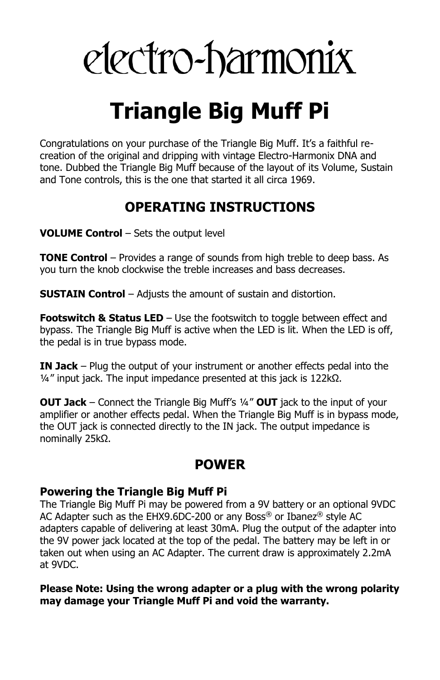# electro-harmonix

## **Triangle Big Muff Pi**

Congratulations on your purchase of the Triangle Big Muff. It's a faithful recreation of the original and dripping with vintage Electro-Harmonix DNA and tone. Dubbed the Triangle Big Muff because of the layout of its Volume, Sustain and Tone controls, this is the one that started it all circa 1969.

### **OPERATING INSTRUCTIONS**

**VOLUME Control** – Sets the output level

**TONE Control** – Provides a range of sounds from high treble to deep bass. As you turn the knob clockwise the treble increases and bass decreases.

**SUSTAIN Control** – Adjusts the amount of sustain and distortion.

**Footswitch & Status LED** – Use the footswitch to toggle between effect and bypass. The Triangle Big Muff is active when the LED is lit. When the LED is off, the pedal is in true bypass mode.

**IN Jack** – Plug the output of your instrument or another effects pedal into the  $\frac{1}{4}$ " input jack. The input impedance presented at this jack is 122kΩ.

**OUT Jack** – Connect the Triangle Big Muff's ¼" **OUT** jack to the input of your amplifier or another effects pedal. When the Triangle Big Muff is in bypass mode, the OUT jack is connected directly to the IN jack. The output impedance is nominally 25kΩ.

#### **POWER**

#### **Powering the Triangle Big Muff Pi**

The Triangle Big Muff Pi may be powered from a 9V battery or an optional 9VDC AC Adapter such as the EHX9.6DC-200 or any Boss® or Ibanez® style AC adapters capable of delivering at least 30mA. Plug the output of the adapter into the 9V power jack located at the top of the pedal. The battery may be left in or taken out when using an AC Adapter. The current draw is approximately 2.2mA at 9VDC.

#### **Please Note: Using the wrong adapter or a plug with the wrong polarity may damage your Triangle Muff Pi and void the warranty.**